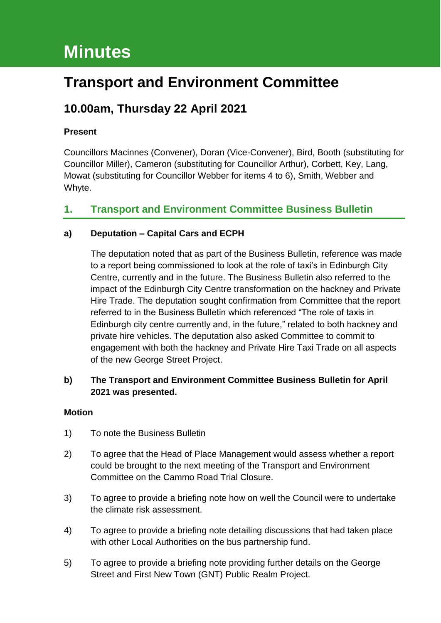# **Minutes**

# **Transport and Environment Committee**

## **10.00am, Thursday 22 April 2021**

## **Present**

Councillors Macinnes (Convener), Doran (Vice-Convener), Bird, Booth (substituting for Councillor Miller), Cameron (substituting for Councillor Arthur), Corbett, Key, Lang, Mowat (substituting for Councillor Webber for items 4 to 6), Smith, Webber and Whyte.

## **1. Transport and Environment Committee Business Bulletin**

## **a) Deputation – Capital Cars and ECPH**

The deputation noted that as part of the Business Bulletin, reference was made to a report being commissioned to look at the role of taxi's in Edinburgh City Centre, currently and in the future. The Business Bulletin also referred to the impact of the Edinburgh City Centre transformation on the hackney and Private Hire Trade. The deputation sought confirmation from Committee that the report referred to in the Business Bulletin which referenced "The role of taxis in Edinburgh city centre currently and, in the future," related to both hackney and private hire vehicles. The deputation also asked Committee to commit to engagement with both the hackney and Private Hire Taxi Trade on all aspects of the new George Street Project.

## **b) The Transport and Environment Committee Business Bulletin for April 2021 was presented.**

## **Motion**

- 1) To note the Business Bulletin
- 2) To agree that the Head of Place Management would assess whether a report could be brought to the next meeting of the Transport and Environment Committee on the Cammo Road Trial Closure.
- 3) To agree to provide a briefing note how on well the Council were to undertake the climate risk assessment.
- 4) To agree to provide a briefing note detailing discussions that had taken place with other Local Authorities on the bus partnership fund.
- 5) To agree to provide a briefing note providing further details on the George Street and First New Town (GNT) Public Realm Project.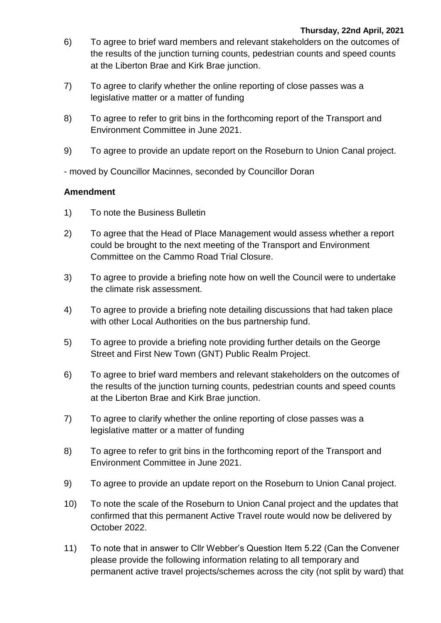- 6) To agree to brief ward members and relevant stakeholders on the outcomes of the results of the junction turning counts, pedestrian counts and speed counts at the Liberton Brae and Kirk Brae junction.
- 7) To agree to clarify whether the online reporting of close passes was a legislative matter or a matter of funding
- 8) To agree to refer to grit bins in the forthcoming report of the Transport and Environment Committee in June 2021.
- 9) To agree to provide an update report on the Roseburn to Union Canal project.

- moved by Councillor Macinnes, seconded by Councillor Doran

- 1) To note the Business Bulletin
- 2) To agree that the Head of Place Management would assess whether a report could be brought to the next meeting of the Transport and Environment Committee on the Cammo Road Trial Closure.
- 3) To agree to provide a briefing note how on well the Council were to undertake the climate risk assessment.
- 4) To agree to provide a briefing note detailing discussions that had taken place with other Local Authorities on the bus partnership fund.
- 5) To agree to provide a briefing note providing further details on the George Street and First New Town (GNT) Public Realm Project.
- 6) To agree to brief ward members and relevant stakeholders on the outcomes of the results of the junction turning counts, pedestrian counts and speed counts at the Liberton Brae and Kirk Brae junction.
- 7) To agree to clarify whether the online reporting of close passes was a legislative matter or a matter of funding
- 8) To agree to refer to grit bins in the forthcoming report of the Transport and Environment Committee in June 2021.
- 9) To agree to provide an update report on the Roseburn to Union Canal project.
- 10) To note the scale of the Roseburn to Union Canal project and the updates that confirmed that this permanent Active Travel route would now be delivered by October 2022.
- 11) To note that in answer to Cllr Webber's Question Item 5.22 (Can the Convener please provide the following information relating to all temporary and permanent active travel projects/schemes across the city (not split by ward) that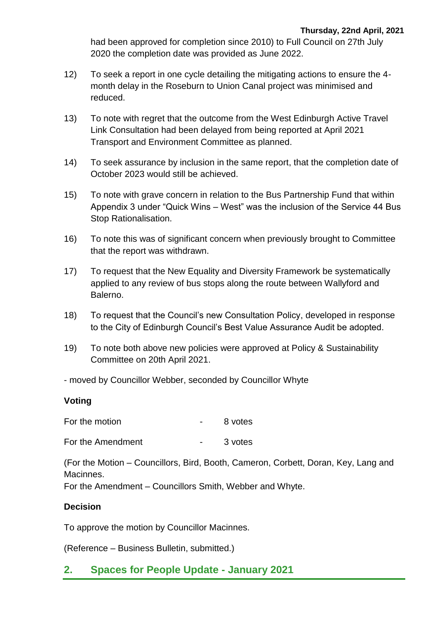had been approved for completion since 2010) to Full Council on 27th July 2020 the completion date was provided as June 2022.

- 12) To seek a report in one cycle detailing the mitigating actions to ensure the 4 month delay in the Roseburn to Union Canal project was minimised and reduced.
- 13) To note with regret that the outcome from the West Edinburgh Active Travel Link Consultation had been delayed from being reported at April 2021 Transport and Environment Committee as planned.
- 14) To seek assurance by inclusion in the same report, that the completion date of October 2023 would still be achieved.
- 15) To note with grave concern in relation to the Bus Partnership Fund that within Appendix 3 under "Quick Wins – West" was the inclusion of the Service 44 Bus Stop Rationalisation.
- 16) To note this was of significant concern when previously brought to Committee that the report was withdrawn.
- 17) To request that the New Equality and Diversity Framework be systematically applied to any review of bus stops along the route between Wallyford and Balerno.
- 18) To request that the Council's new Consultation Policy, developed in response to the City of Edinburgh Council's Best Value Assurance Audit be adopted.
- 19) To note both above new policies were approved at Policy & Sustainability Committee on 20th April 2021.
- moved by Councillor Webber, seconded by Councillor Whyte

## **Voting**

For the motion Theorem 2011 For the motion

For the Amendment Theory Contract Contract Contract 3 votes

(For the Motion – Councillors, Bird, Booth, Cameron, Corbett, Doran, Key, Lang and Macinnes.

For the Amendment – Councillors Smith, Webber and Whyte.

## **Decision**

To approve the motion by Councillor Macinnes.

(Reference – Business Bulletin, submitted.)

## **2. Spaces for People Update - January 2021**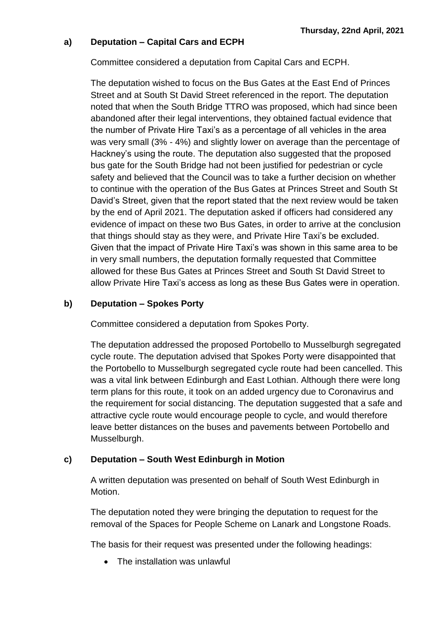## **a) Deputation – Capital Cars and ECPH**

Committee considered a deputation from Capital Cars and ECPH.

The deputation wished to focus on the Bus Gates at the East End of Princes Street and at South St David Street referenced in the report. The deputation noted that when the South Bridge TTRO was proposed, which had since been abandoned after their legal interventions, they obtained factual evidence that the number of Private Hire Taxi's as a percentage of all vehicles in the area was very small (3% - 4%) and slightly lower on average than the percentage of Hackney's using the route. The deputation also suggested that the proposed bus gate for the South Bridge had not been justified for pedestrian or cycle safety and believed that the Council was to take a further decision on whether to continue with the operation of the Bus Gates at Princes Street and South St David's Street, given that the report stated that the next review would be taken by the end of April 2021. The deputation asked if officers had considered any evidence of impact on these two Bus Gates, in order to arrive at the conclusion that things should stay as they were, and Private Hire Taxi's be excluded. Given that the impact of Private Hire Taxi's was shown in this same area to be in very small numbers, the deputation formally requested that Committee allowed for these Bus Gates at Princes Street and South St David Street to allow Private Hire Taxi's access as long as these Bus Gates were in operation.

## **b) Deputation – Spokes Porty**

Committee considered a deputation from Spokes Porty.

The deputation addressed the proposed Portobello to Musselburgh segregated cycle route. The deputation advised that Spokes Porty were disappointed that the Portobello to Musselburgh segregated cycle route had been cancelled. This was a vital link between Edinburgh and East Lothian. Although there were long term plans for this route, it took on an added urgency due to Coronavirus and the requirement for social distancing. The deputation suggested that a safe and attractive cycle route would encourage people to cycle, and would therefore leave better distances on the buses and pavements between Portobello and Musselburgh.

## **c) Deputation – South West Edinburgh in Motion**

A written deputation was presented on behalf of South West Edinburgh in Motion.

The deputation noted they were bringing the deputation to request for the removal of the Spaces for People Scheme on Lanark and Longstone Roads.

The basis for their request was presented under the following headings:

The installation was unlawful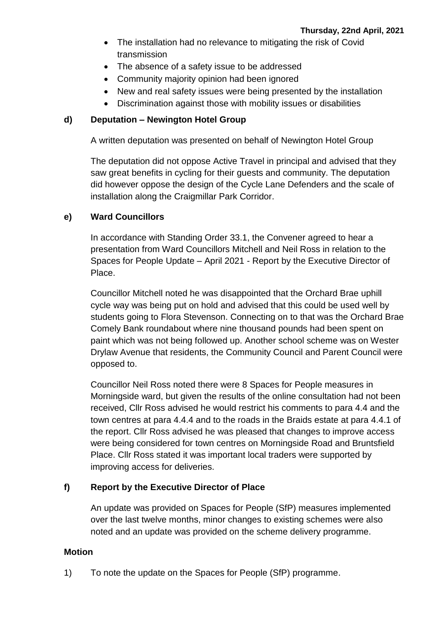- The installation had no relevance to mitigating the risk of Covid transmission
- The absence of a safety issue to be addressed
- Community majority opinion had been ignored
- New and real safety issues were being presented by the installation
- Discrimination against those with mobility issues or disabilities

## **d) Deputation – Newington Hotel Group**

A written deputation was presented on behalf of Newington Hotel Group

The deputation did not oppose Active Travel in principal and advised that they saw great benefits in cycling for their guests and community. The deputation did however oppose the design of the Cycle Lane Defenders and the scale of installation along the Craigmillar Park Corridor.

## **e) Ward Councillors**

In accordance with Standing Order 33.1, the Convener agreed to hear a presentation from Ward Councillors Mitchell and Neil Ross in relation to the Spaces for People Update – April 2021 - Report by the Executive Director of Place.

Councillor Mitchell noted he was disappointed that the Orchard Brae uphill cycle way was being put on hold and advised that this could be used well by students going to Flora Stevenson. Connecting on to that was the Orchard Brae Comely Bank roundabout where nine thousand pounds had been spent on paint which was not being followed up. Another school scheme was on Wester Drylaw Avenue that residents, the Community Council and Parent Council were opposed to.

Councillor Neil Ross noted there were 8 Spaces for People measures in Morningside ward, but given the results of the online consultation had not been received, Cllr Ross advised he would restrict his comments to para 4.4 and the town centres at para 4.4.4 and to the roads in the Braids estate at para 4.4.1 of the report. Cllr Ross advised he was pleased that changes to improve access were being considered for town centres on Morningside Road and Bruntsfield Place. Cllr Ross stated it was important local traders were supported by improving access for deliveries.

## **f) Report by the Executive Director of Place**

An update was provided on Spaces for People (SfP) measures implemented over the last twelve months, minor changes to existing schemes were also noted and an update was provided on the scheme delivery programme.

#### **Motion**

1) To note the update on the Spaces for People (SfP) programme.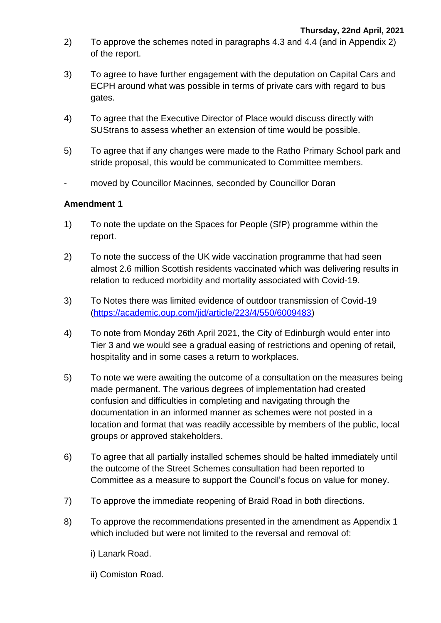- 2) To approve the schemes noted in paragraphs 4.3 and 4.4 (and in Appendix 2) of the report.
- 3) To agree to have further engagement with the deputation on Capital Cars and ECPH around what was possible in terms of private cars with regard to bus gates.
- 4) To agree that the Executive Director of Place would discuss directly with SUStrans to assess whether an extension of time would be possible.
- 5) To agree that if any changes were made to the Ratho Primary School park and stride proposal, this would be communicated to Committee members.
- moved by Councillor Macinnes, seconded by Councillor Doran

- 1) To note the update on the Spaces for People (SfP) programme within the report.
- 2) To note the success of the UK wide vaccination programme that had seen almost 2.6 million Scottish residents vaccinated which was delivering results in relation to reduced morbidity and mortality associated with Covid-19.
- 3) To Notes there was limited evidence of outdoor transmission of Covid-19 [\(https://academic.oup.com/jid/article/223/4/550/6009483\)](https://academic.oup.com/jid/article/223/4/550/6009483)
- 4) To note from Monday 26th April 2021, the City of Edinburgh would enter into Tier 3 and we would see a gradual easing of restrictions and opening of retail, hospitality and in some cases a return to workplaces.
- 5) To note we were awaiting the outcome of a consultation on the measures being made permanent. The various degrees of implementation had created confusion and difficulties in completing and navigating through the documentation in an informed manner as schemes were not posted in a location and format that was readily accessible by members of the public, local groups or approved stakeholders.
- 6) To agree that all partially installed schemes should be halted immediately until the outcome of the Street Schemes consultation had been reported to Committee as a measure to support the Council's focus on value for money.
- 7) To approve the immediate reopening of Braid Road in both directions.
- 8) To approve the recommendations presented in the amendment as Appendix 1 which included but were not limited to the reversal and removal of:
	- i) Lanark Road.
	- ii) Comiston Road.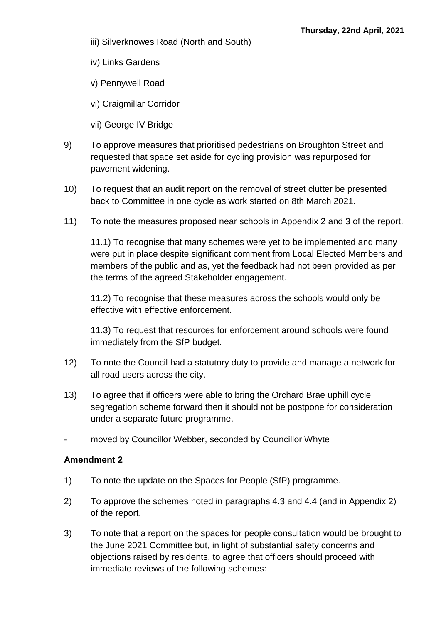- iii) Silverknowes Road (North and South)
- iv) Links Gardens
- v) Pennywell Road
- vi) Craigmillar Corridor
- vii) George IV Bridge
- 9) To approve measures that prioritised pedestrians on Broughton Street and requested that space set aside for cycling provision was repurposed for pavement widening.
- 10) To request that an audit report on the removal of street clutter be presented back to Committee in one cycle as work started on 8th March 2021.
- 11) To note the measures proposed near schools in Appendix 2 and 3 of the report.

11.1) To recognise that many schemes were yet to be implemented and many were put in place despite significant comment from Local Elected Members and members of the public and as, yet the feedback had not been provided as per the terms of the agreed Stakeholder engagement.

11.2) To recognise that these measures across the schools would only be effective with effective enforcement.

11.3) To request that resources for enforcement around schools were found immediately from the SfP budget.

- 12) To note the Council had a statutory duty to provide and manage a network for all road users across the city.
- 13) To agree that if officers were able to bring the Orchard Brae uphill cycle segregation scheme forward then it should not be postpone for consideration under a separate future programme.
- moved by Councillor Webber, seconded by Councillor Whyte

- 1) To note the update on the Spaces for People (SfP) programme.
- 2) To approve the schemes noted in paragraphs 4.3 and 4.4 (and in Appendix 2) of the report.
- 3) To note that a report on the spaces for people consultation would be brought to the June 2021 Committee but, in light of substantial safety concerns and objections raised by residents, to agree that officers should proceed with immediate reviews of the following schemes: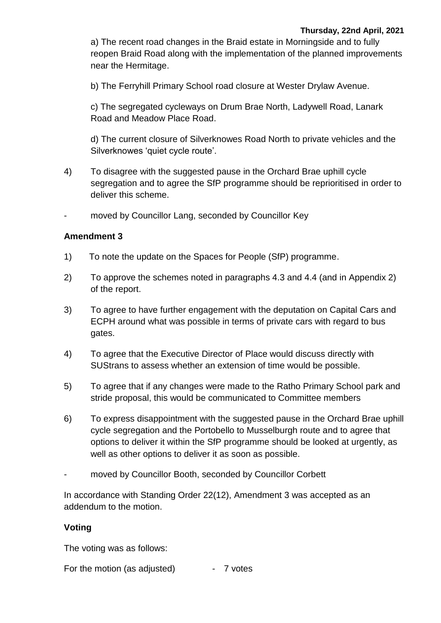a) The recent road changes in the Braid estate in Morningside and to fully reopen Braid Road along with the implementation of the planned improvements near the Hermitage.

b) The Ferryhill Primary School road closure at Wester Drylaw Avenue.

c) The segregated cycleways on Drum Brae North, Ladywell Road, Lanark Road and Meadow Place Road.

d) The current closure of Silverknowes Road North to private vehicles and the Silverknowes 'quiet cycle route'.

- 4) To disagree with the suggested pause in the Orchard Brae uphill cycle segregation and to agree the SfP programme should be reprioritised in order to deliver this scheme.
- moved by Councillor Lang, seconded by Councillor Key

#### **Amendment 3**

- 1) To note the update on the Spaces for People (SfP) programme.
- 2) To approve the schemes noted in paragraphs 4.3 and 4.4 (and in Appendix 2) of the report.
- 3) To agree to have further engagement with the deputation on Capital Cars and ECPH around what was possible in terms of private cars with regard to bus gates.
- 4) To agree that the Executive Director of Place would discuss directly with SUStrans to assess whether an extension of time would be possible.
- 5) To agree that if any changes were made to the Ratho Primary School park and stride proposal, this would be communicated to Committee members
- 6) To express disappointment with the suggested pause in the Orchard Brae uphill cycle segregation and the Portobello to Musselburgh route and to agree that options to deliver it within the SfP programme should be looked at urgently, as well as other options to deliver it as soon as possible.
- moved by Councillor Booth, seconded by Councillor Corbett

In accordance with Standing Order 22(12), Amendment 3 was accepted as an addendum to the motion.

## **Voting**

The voting was as follows:

For the motion (as adjusted) - 7 votes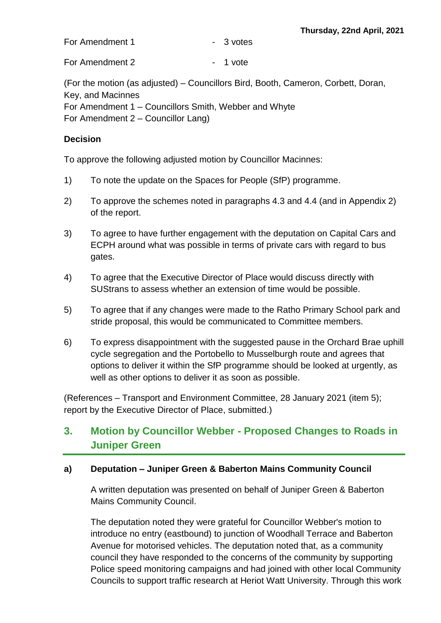For Amendment 1 and 1 and 1 and 1 and 1 and 1 and 1 and 1 and 1 and 1 and 1 and 1 and 1 and 1 and 1 and 1 and 1 and 1 and 1 and 1 and 1 and 1 and 1 and 1 and 1 and 1 and 1 and 1 and 1 and 1 and 1 and 1 and 1 and 1 and 1 an

For Amendment 2 and 1 vote

(For the motion (as adjusted) – Councillors Bird, Booth, Cameron, Corbett, Doran, Key, and Macinnes For Amendment 1 – Councillors Smith, Webber and Whyte For Amendment 2 – Councillor Lang)

## **Decision**

To approve the following adjusted motion by Councillor Macinnes:

- 1) To note the update on the Spaces for People (SfP) programme.
- 2) To approve the schemes noted in paragraphs 4.3 and 4.4 (and in Appendix 2) of the report.
- 3) To agree to have further engagement with the deputation on Capital Cars and ECPH around what was possible in terms of private cars with regard to bus gates.
- 4) To agree that the Executive Director of Place would discuss directly with SUStrans to assess whether an extension of time would be possible.
- 5) To agree that if any changes were made to the Ratho Primary School park and stride proposal, this would be communicated to Committee members.
- 6) To express disappointment with the suggested pause in the Orchard Brae uphill cycle segregation and the Portobello to Musselburgh route and agrees that options to deliver it within the SfP programme should be looked at urgently, as well as other options to deliver it as soon as possible.

(References – Transport and Environment Committee, 28 January 2021 (item 5); report by the Executive Director of Place, submitted.)

## **3. Motion by Councillor Webber - Proposed Changes to Roads in Juniper Green**

## **a) Deputation – Juniper Green & Baberton Mains Community Council**

A written deputation was presented on behalf of Juniper Green & Baberton Mains Community Council.

The deputation noted they were grateful for Councillor Webber's motion to introduce no entry (eastbound) to junction of Woodhall Terrace and Baberton Avenue for motorised vehicles. The deputation noted that, as a community council they have responded to the concerns of the community by supporting Police speed monitoring campaigns and had joined with other local Community Councils to support traffic research at Heriot Watt University. Through this work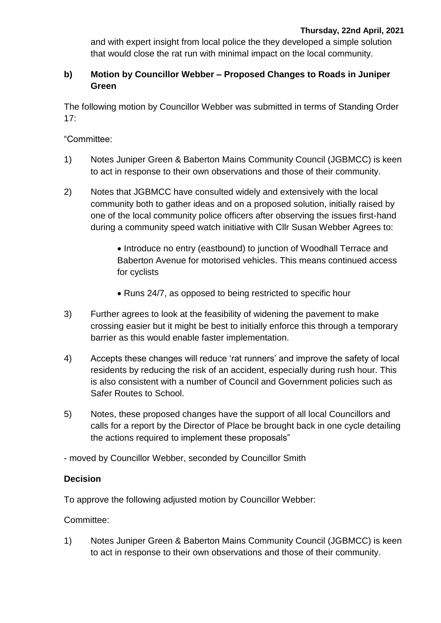and with expert insight from local police the they developed a simple solution that would close the rat run with minimal impact on the local community.

## **b) Motion by Councillor Webber – Proposed Changes to Roads in Juniper Green**

The following motion by Councillor Webber was submitted in terms of Standing Order 17:

"Committee:

- 1) Notes Juniper Green & Baberton Mains Community Council (JGBMCC) is keen to act in response to their own observations and those of their community.
- 2) Notes that JGBMCC have consulted widely and extensively with the local community both to gather ideas and on a proposed solution, initially raised by one of the local community police officers after observing the issues first-hand during a community speed watch initiative with Cllr Susan Webber Agrees to:

• Introduce no entry (eastbound) to junction of Woodhall Terrace and Baberton Avenue for motorised vehicles. This means continued access for cyclists

- Runs 24/7, as opposed to being restricted to specific hour
- 3) Further agrees to look at the feasibility of widening the pavement to make crossing easier but it might be best to initially enforce this through a temporary barrier as this would enable faster implementation.
- 4) Accepts these changes will reduce 'rat runners' and improve the safety of local residents by reducing the risk of an accident, especially during rush hour. This is also consistent with a number of Council and Government policies such as Safer Routes to School.
- 5) Notes, these proposed changes have the support of all local Councillors and calls for a report by the Director of Place be brought back in one cycle detailing the actions required to implement these proposals"

- moved by Councillor Webber, seconded by Councillor Smith

## **Decision**

To approve the following adjusted motion by Councillor Webber:

Committee:

1) Notes Juniper Green & Baberton Mains Community Council (JGBMCC) is keen to act in response to their own observations and those of their community.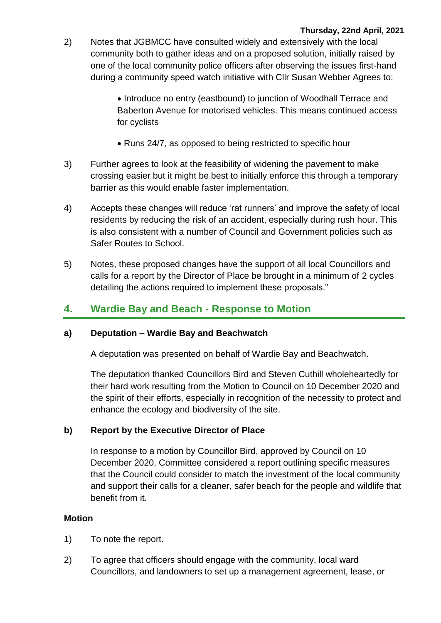#### **Thursday, 22nd April, 2021**

- 2) Notes that JGBMCC have consulted widely and extensively with the local community both to gather ideas and on a proposed solution, initially raised by one of the local community police officers after observing the issues first-hand during a community speed watch initiative with Cllr Susan Webber Agrees to:
	- Introduce no entry (eastbound) to junction of Woodhall Terrace and Baberton Avenue for motorised vehicles. This means continued access for cyclists
	- Runs 24/7, as opposed to being restricted to specific hour
- 3) Further agrees to look at the feasibility of widening the pavement to make crossing easier but it might be best to initially enforce this through a temporary barrier as this would enable faster implementation.
- 4) Accepts these changes will reduce 'rat runners' and improve the safety of local residents by reducing the risk of an accident, especially during rush hour. This is also consistent with a number of Council and Government policies such as Safer Routes to School.
- 5) Notes, these proposed changes have the support of all local Councillors and calls for a report by the Director of Place be brought in a minimum of 2 cycles detailing the actions required to implement these proposals."

## **4. Wardie Bay and Beach - Response to Motion**

#### **a) Deputation – Wardie Bay and Beachwatch**

A deputation was presented on behalf of Wardie Bay and Beachwatch.

The deputation thanked Councillors Bird and Steven Cuthill wholeheartedly for their hard work resulting from the Motion to Council on 10 December 2020 and the spirit of their efforts, especially in recognition of the necessity to protect and enhance the ecology and biodiversity of the site.

#### **b) Report by the Executive Director of Place**

In response to a motion by Councillor Bird, approved by Council on 10 December 2020, Committee considered a report outlining specific measures that the Council could consider to match the investment of the local community and support their calls for a cleaner, safer beach for the people and wildlife that benefit from it.

#### **Motion**

- 1) To note the report.
- 2) To agree that officers should engage with the community, local ward Councillors, and landowners to set up a management agreement, lease, or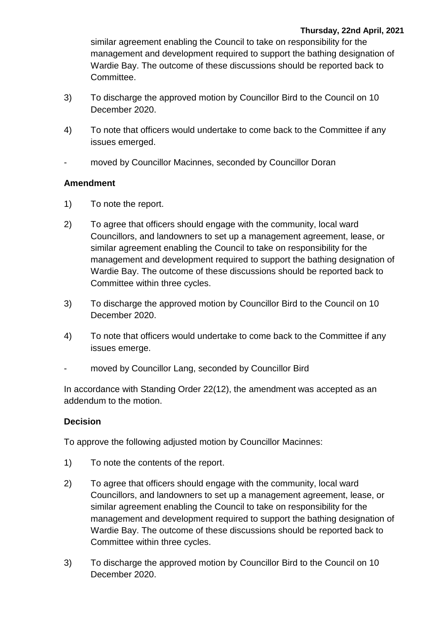similar agreement enabling the Council to take on responsibility for the management and development required to support the bathing designation of Wardie Bay. The outcome of these discussions should be reported back to Committee.

- 3) To discharge the approved motion by Councillor Bird to the Council on 10 December 2020.
- 4) To note that officers would undertake to come back to the Committee if any issues emerged.
- moved by Councillor Macinnes, seconded by Councillor Doran

## **Amendment**

- 1) To note the report.
- 2) To agree that officers should engage with the community, local ward Councillors, and landowners to set up a management agreement, lease, or similar agreement enabling the Council to take on responsibility for the management and development required to support the bathing designation of Wardie Bay. The outcome of these discussions should be reported back to Committee within three cycles.
- 3) To discharge the approved motion by Councillor Bird to the Council on 10 December 2020.
- 4) To note that officers would undertake to come back to the Committee if any issues emerge.
- moved by Councillor Lang, seconded by Councillor Bird

In accordance with Standing Order 22(12), the amendment was accepted as an addendum to the motion.

## **Decision**

To approve the following adjusted motion by Councillor Macinnes:

- 1) To note the contents of the report.
- 2) To agree that officers should engage with the community, local ward Councillors, and landowners to set up a management agreement, lease, or similar agreement enabling the Council to take on responsibility for the management and development required to support the bathing designation of Wardie Bay. The outcome of these discussions should be reported back to Committee within three cycles.
- 3) To discharge the approved motion by Councillor Bird to the Council on 10 December 2020.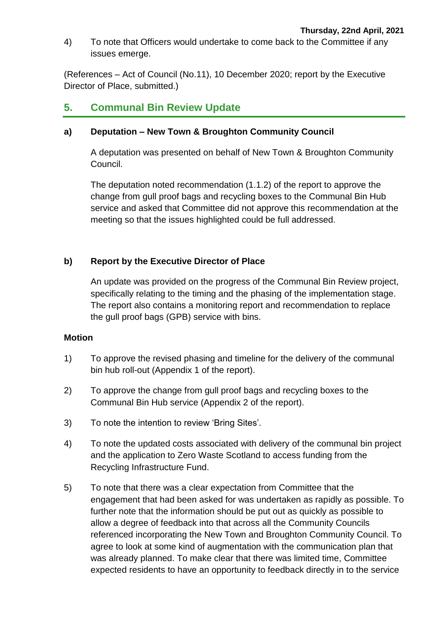4) To note that Officers would undertake to come back to the Committee if any issues emerge.

(References – Act of Council (No.11), 10 December 2020; report by the Executive Director of Place, submitted.)

## **5. Communal Bin Review Update**

#### **a) Deputation – New Town & Broughton Community Council**

A deputation was presented on behalf of New Town & Broughton Community Council.

The deputation noted recommendation (1.1.2) of the report to approve the change from gull proof bags and recycling boxes to the Communal Bin Hub service and asked that Committee did not approve this recommendation at the meeting so that the issues highlighted could be full addressed.

#### **b) Report by the Executive Director of Place**

An update was provided on the progress of the Communal Bin Review project, specifically relating to the timing and the phasing of the implementation stage. The report also contains a monitoring report and recommendation to replace the gull proof bags (GPB) service with bins.

#### **Motion**

- 1) To approve the revised phasing and timeline for the delivery of the communal bin hub roll-out (Appendix 1 of the report).
- 2) To approve the change from gull proof bags and recycling boxes to the Communal Bin Hub service (Appendix 2 of the report).
- 3) To note the intention to review 'Bring Sites'.
- 4) To note the updated costs associated with delivery of the communal bin project and the application to Zero Waste Scotland to access funding from the Recycling Infrastructure Fund.
- 5) To note that there was a clear expectation from Committee that the engagement that had been asked for was undertaken as rapidly as possible. To further note that the information should be put out as quickly as possible to allow a degree of feedback into that across all the Community Councils referenced incorporating the New Town and Broughton Community Council. To agree to look at some kind of augmentation with the communication plan that was already planned. To make clear that there was limited time, Committee expected residents to have an opportunity to feedback directly in to the service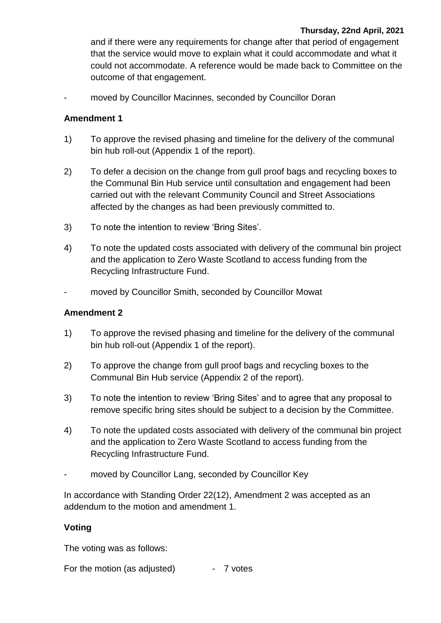and if there were any requirements for change after that period of engagement that the service would move to explain what it could accommodate and what it could not accommodate. A reference would be made back to Committee on the outcome of that engagement.

moved by Councillor Macinnes, seconded by Councillor Doran

## **Amendment 1**

- 1) To approve the revised phasing and timeline for the delivery of the communal bin hub roll-out (Appendix 1 of the report).
- 2) To defer a decision on the change from gull proof bags and recycling boxes to the Communal Bin Hub service until consultation and engagement had been carried out with the relevant Community Council and Street Associations affected by the changes as had been previously committed to.
- 3) To note the intention to review 'Bring Sites'.
- 4) To note the updated costs associated with delivery of the communal bin project and the application to Zero Waste Scotland to access funding from the Recycling Infrastructure Fund.
- moved by Councillor Smith, seconded by Councillor Mowat

## **Amendment 2**

- 1) To approve the revised phasing and timeline for the delivery of the communal bin hub roll-out (Appendix 1 of the report).
- 2) To approve the change from gull proof bags and recycling boxes to the Communal Bin Hub service (Appendix 2 of the report).
- 3) To note the intention to review 'Bring Sites' and to agree that any proposal to remove specific bring sites should be subject to a decision by the Committee.
- 4) To note the updated costs associated with delivery of the communal bin project and the application to Zero Waste Scotland to access funding from the Recycling Infrastructure Fund.
- moved by Councillor Lang, seconded by Councillor Key

In accordance with Standing Order 22(12), Amendment 2 was accepted as an addendum to the motion and amendment 1.

## **Voting**

The voting was as follows:

For the motion (as adjusted) - 7 votes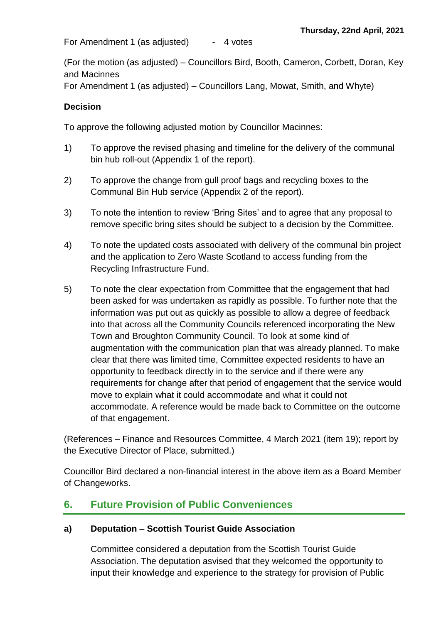For Amendment 1 (as adjusted) - 4 votes

(For the motion (as adjusted) – Councillors Bird, Booth, Cameron, Corbett, Doran, Key and Macinnes

For Amendment 1 (as adjusted) – Councillors Lang, Mowat, Smith, and Whyte)

#### **Decision**

To approve the following adjusted motion by Councillor Macinnes:

- 1) To approve the revised phasing and timeline for the delivery of the communal bin hub roll-out (Appendix 1 of the report).
- 2) To approve the change from gull proof bags and recycling boxes to the Communal Bin Hub service (Appendix 2 of the report).
- 3) To note the intention to review 'Bring Sites' and to agree that any proposal to remove specific bring sites should be subject to a decision by the Committee.
- 4) To note the updated costs associated with delivery of the communal bin project and the application to Zero Waste Scotland to access funding from the Recycling Infrastructure Fund.
- 5) To note the clear expectation from Committee that the engagement that had been asked for was undertaken as rapidly as possible. To further note that the information was put out as quickly as possible to allow a degree of feedback into that across all the Community Councils referenced incorporating the New Town and Broughton Community Council. To look at some kind of augmentation with the communication plan that was already planned. To make clear that there was limited time, Committee expected residents to have an opportunity to feedback directly in to the service and if there were any requirements for change after that period of engagement that the service would move to explain what it could accommodate and what it could not accommodate. A reference would be made back to Committee on the outcome of that engagement.

(References – Finance and Resources Committee, 4 March 2021 (item 19); report by the Executive Director of Place, submitted.)

Councillor Bird declared a non-financial interest in the above item as a Board Member of Changeworks.

## **6. Future Provision of Public Conveniences**

## **a) Deputation – Scottish Tourist Guide Association**

Committee considered a deputation from the Scottish Tourist Guide Association. The deputation asvised that they welcomed the opportunity to input their knowledge and experience to the strategy for provision of Public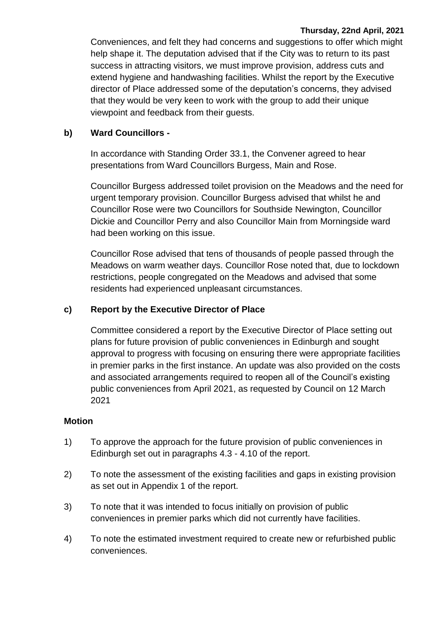#### **Thursday, 22nd April, 2021**

Conveniences, and felt they had concerns and suggestions to offer which might help shape it. The deputation advised that if the City was to return to its past success in attracting visitors, we must improve provision, address cuts and extend hygiene and handwashing facilities. Whilst the report by the Executive director of Place addressed some of the deputation's concerns, they advised that they would be very keen to work with the group to add their unique viewpoint and feedback from their guests.

#### **b) Ward Councillors -**

In accordance with Standing Order 33.1, the Convener agreed to hear presentations from Ward Councillors Burgess, Main and Rose.

Councillor Burgess addressed toilet provision on the Meadows and the need for urgent temporary provision. Councillor Burgess advised that whilst he and Councillor Rose were two Councillors for Southside Newington, Councillor Dickie and Councillor Perry and also Councillor Main from Morningside ward had been working on this issue.

Councillor Rose advised that tens of thousands of people passed through the Meadows on warm weather days. Councillor Rose noted that, due to lockdown restrictions, people congregated on the Meadows and advised that some residents had experienced unpleasant circumstances.

#### **c) Report by the Executive Director of Place**

Committee considered a report by the Executive Director of Place setting out plans for future provision of public conveniences in Edinburgh and sought approval to progress with focusing on ensuring there were appropriate facilities in premier parks in the first instance. An update was also provided on the costs and associated arrangements required to reopen all of the Council's existing public conveniences from April 2021, as requested by Council on 12 March 2021

#### **Motion**

- 1) To approve the approach for the future provision of public conveniences in Edinburgh set out in paragraphs 4.3 - 4.10 of the report.
- 2) To note the assessment of the existing facilities and gaps in existing provision as set out in Appendix 1 of the report.
- 3) To note that it was intended to focus initially on provision of public conveniences in premier parks which did not currently have facilities.
- 4) To note the estimated investment required to create new or refurbished public conveniences.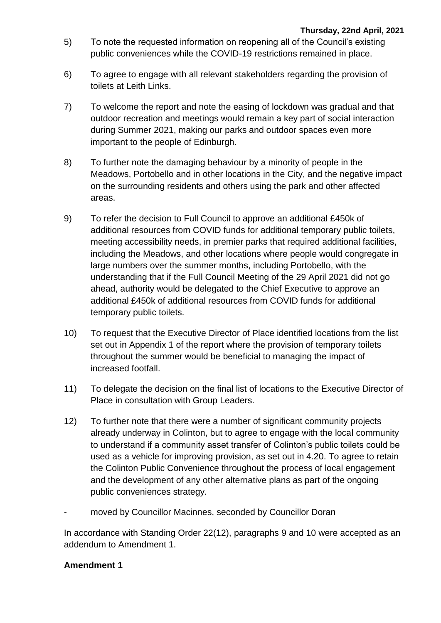- 5) To note the requested information on reopening all of the Council's existing public conveniences while the COVID-19 restrictions remained in place.
- 6) To agree to engage with all relevant stakeholders regarding the provision of toilets at Leith Links.
- 7) To welcome the report and note the easing of lockdown was gradual and that outdoor recreation and meetings would remain a key part of social interaction during Summer 2021, making our parks and outdoor spaces even more important to the people of Edinburgh.
- 8) To further note the damaging behaviour by a minority of people in the Meadows, Portobello and in other locations in the City, and the negative impact on the surrounding residents and others using the park and other affected areas.
- 9) To refer the decision to Full Council to approve an additional £450k of additional resources from COVID funds for additional temporary public toilets, meeting accessibility needs, in premier parks that required additional facilities, including the Meadows, and other locations where people would congregate in large numbers over the summer months, including Portobello, with the understanding that if the Full Council Meeting of the 29 April 2021 did not go ahead, authority would be delegated to the Chief Executive to approve an additional £450k of additional resources from COVID funds for additional temporary public toilets.
- 10) To request that the Executive Director of Place identified locations from the list set out in Appendix 1 of the report where the provision of temporary toilets throughout the summer would be beneficial to managing the impact of increased footfall.
- 11) To delegate the decision on the final list of locations to the Executive Director of Place in consultation with Group Leaders.
- 12) To further note that there were a number of significant community projects already underway in Colinton, but to agree to engage with the local community to understand if a community asset transfer of Colinton's public toilets could be used as a vehicle for improving provision, as set out in 4.20. To agree to retain the Colinton Public Convenience throughout the process of local engagement and the development of any other alternative plans as part of the ongoing public conveniences strategy.
- moved by Councillor Macinnes, seconded by Councillor Doran

In accordance with Standing Order 22(12), paragraphs 9 and 10 were accepted as an addendum to Amendment 1.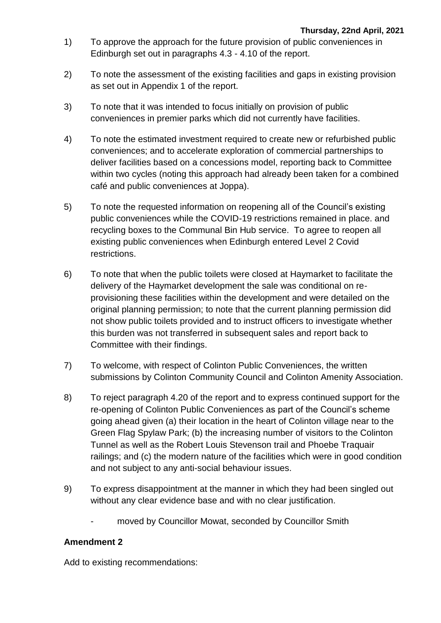- 1) To approve the approach for the future provision of public conveniences in Edinburgh set out in paragraphs 4.3 - 4.10 of the report.
- 2) To note the assessment of the existing facilities and gaps in existing provision as set out in Appendix 1 of the report.
- 3) To note that it was intended to focus initially on provision of public conveniences in premier parks which did not currently have facilities.
- 4) To note the estimated investment required to create new or refurbished public conveniences; and to accelerate exploration of commercial partnerships to deliver facilities based on a concessions model, reporting back to Committee within two cycles (noting this approach had already been taken for a combined café and public conveniences at Joppa).
- 5) To note the requested information on reopening all of the Council's existing public conveniences while the COVID-19 restrictions remained in place. and recycling boxes to the Communal Bin Hub service. To agree to reopen all existing public conveniences when Edinburgh entered Level 2 Covid restrictions.
- 6) To note that when the public toilets were closed at Haymarket to facilitate the delivery of the Haymarket development the sale was conditional on reprovisioning these facilities within the development and were detailed on the original planning permission; to note that the current planning permission did not show public toilets provided and to instruct officers to investigate whether this burden was not transferred in subsequent sales and report back to Committee with their findings.
- 7) To welcome, with respect of Colinton Public Conveniences, the written submissions by Colinton Community Council and Colinton Amenity Association.
- 8) To reject paragraph 4.20 of the report and to express continued support for the re-opening of Colinton Public Conveniences as part of the Council's scheme going ahead given (a) their location in the heart of Colinton village near to the Green Flag Spylaw Park; (b) the increasing number of visitors to the Colinton Tunnel as well as the Robert Louis Stevenson trail and Phoebe Traquair railings; and (c) the modern nature of the facilities which were in good condition and not subject to any anti-social behaviour issues.
- 9) To express disappointment at the manner in which they had been singled out without any clear evidence base and with no clear justification.
	- moved by Councillor Mowat, seconded by Councillor Smith

## **Amendment 2**

Add to existing recommendations: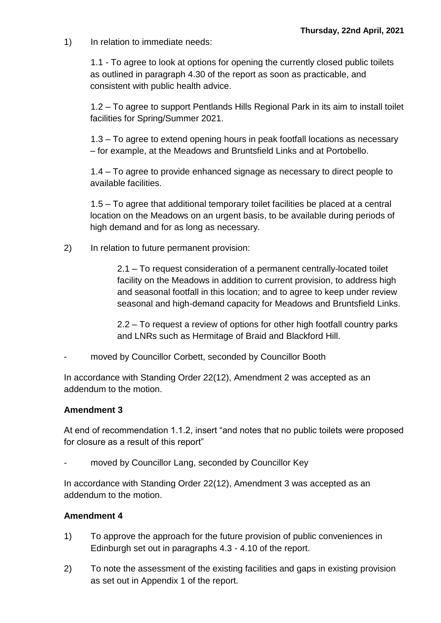1) In relation to immediate needs:

1.1 - To agree to look at options for opening the currently closed public toilets as outlined in paragraph 4.30 of the report as soon as practicable, and consistent with public health advice.

1.2 – To agree to support Pentlands Hills Regional Park in its aim to install toilet facilities for Spring/Summer 2021.

1.3 – To agree to extend opening hours in peak footfall locations as necessary – for example, at the Meadows and Bruntsfield Links and at Portobello.

1.4 – To agree to provide enhanced signage as necessary to direct people to available facilities.

1.5 – To agree that additional temporary toilet facilities be placed at a central location on the Meadows on an urgent basis, to be available during periods of high demand and for as long as necessary.

2) In relation to future permanent provision:

2.1 – To request consideration of a permanent centrally-located toilet facility on the Meadows in addition to current provision, to address high and seasonal footfall in this location; and to agree to keep under review seasonal and high-demand capacity for Meadows and Bruntsfield Links.

2.2 – To request a review of options for other high footfall country parks and LNRs such as Hermitage of Braid and Blackford Hill.

moved by Councillor Corbett, seconded by Councillor Booth

In accordance with Standing Order 22(12), Amendment 2 was accepted as an addendum to the motion.

## **Amendment 3**

At end of recommendation 1.1.2, insert "and notes that no public toilets were proposed for closure as a result of this report"

moved by Councillor Lang, seconded by Councillor Key

In accordance with Standing Order 22(12), Amendment 3 was accepted as an addendum to the motion.

- 1) To approve the approach for the future provision of public conveniences in Edinburgh set out in paragraphs 4.3 - 4.10 of the report.
- 2) To note the assessment of the existing facilities and gaps in existing provision as set out in Appendix 1 of the report.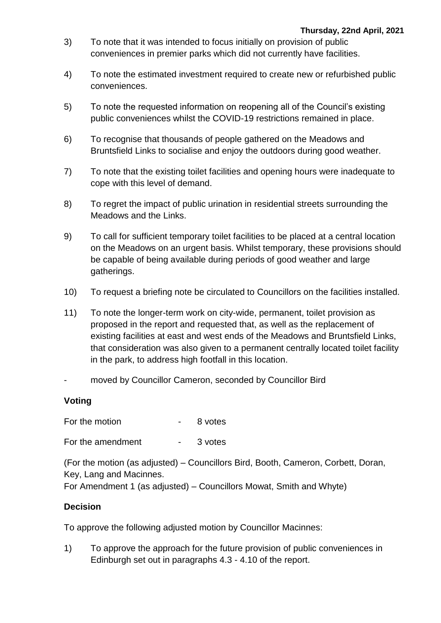- 3) To note that it was intended to focus initially on provision of public conveniences in premier parks which did not currently have facilities.
- 4) To note the estimated investment required to create new or refurbished public conveniences.
- 5) To note the requested information on reopening all of the Council's existing public conveniences whilst the COVID-19 restrictions remained in place.
- 6) To recognise that thousands of people gathered on the Meadows and Bruntsfield Links to socialise and enjoy the outdoors during good weather.
- 7) To note that the existing toilet facilities and opening hours were inadequate to cope with this level of demand.
- 8) To regret the impact of public urination in residential streets surrounding the Meadows and the Links.
- 9) To call for sufficient temporary toilet facilities to be placed at a central location on the Meadows on an urgent basis. Whilst temporary, these provisions should be capable of being available during periods of good weather and large gatherings.
- 10) To request a briefing note be circulated to Councillors on the facilities installed.
- 11) To note the longer-term work on city-wide, permanent, toilet provision as proposed in the report and requested that, as well as the replacement of existing facilities at east and west ends of the Meadows and Bruntsfield Links, that consideration was also given to a permanent centrally located toilet facility in the park, to address high footfall in this location.
- moved by Councillor Cameron, seconded by Councillor Bird

## **Voting**

For the motion For the motion American Supersity Bureau and Supersity Bureau and Supersity Bureau and Supersity Bureau and Supersity Bureau and Supersity Bureau and Supersity Bureau and Supersity Bureau and Supersity Burea

For the amendment - 3 votes

(For the motion (as adjusted) – Councillors Bird, Booth, Cameron, Corbett, Doran, Key, Lang and Macinnes.

For Amendment 1 (as adjusted) – Councillors Mowat, Smith and Whyte)

## **Decision**

To approve the following adjusted motion by Councillor Macinnes:

1) To approve the approach for the future provision of public conveniences in Edinburgh set out in paragraphs 4.3 - 4.10 of the report.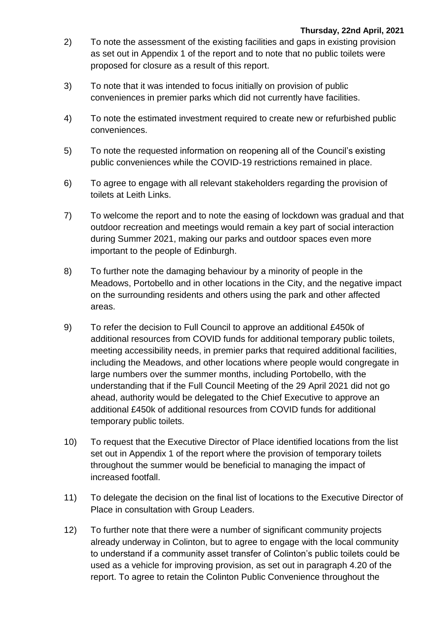- 2) To note the assessment of the existing facilities and gaps in existing provision as set out in Appendix 1 of the report and to note that no public toilets were proposed for closure as a result of this report.
- 3) To note that it was intended to focus initially on provision of public conveniences in premier parks which did not currently have facilities.
- 4) To note the estimated investment required to create new or refurbished public conveniences.
- 5) To note the requested information on reopening all of the Council's existing public conveniences while the COVID-19 restrictions remained in place.
- 6) To agree to engage with all relevant stakeholders regarding the provision of toilets at Leith Links.
- 7) To welcome the report and to note the easing of lockdown was gradual and that outdoor recreation and meetings would remain a key part of social interaction during Summer 2021, making our parks and outdoor spaces even more important to the people of Edinburgh.
- 8) To further note the damaging behaviour by a minority of people in the Meadows, Portobello and in other locations in the City, and the negative impact on the surrounding residents and others using the park and other affected areas.
- 9) To refer the decision to Full Council to approve an additional £450k of additional resources from COVID funds for additional temporary public toilets, meeting accessibility needs, in premier parks that required additional facilities, including the Meadows, and other locations where people would congregate in large numbers over the summer months, including Portobello, with the understanding that if the Full Council Meeting of the 29 April 2021 did not go ahead, authority would be delegated to the Chief Executive to approve an additional £450k of additional resources from COVID funds for additional temporary public toilets.
- 10) To request that the Executive Director of Place identified locations from the list set out in Appendix 1 of the report where the provision of temporary toilets throughout the summer would be beneficial to managing the impact of increased footfall.
- 11) To delegate the decision on the final list of locations to the Executive Director of Place in consultation with Group Leaders.
- 12) To further note that there were a number of significant community projects already underway in Colinton, but to agree to engage with the local community to understand if a community asset transfer of Colinton's public toilets could be used as a vehicle for improving provision, as set out in paragraph 4.20 of the report. To agree to retain the Colinton Public Convenience throughout the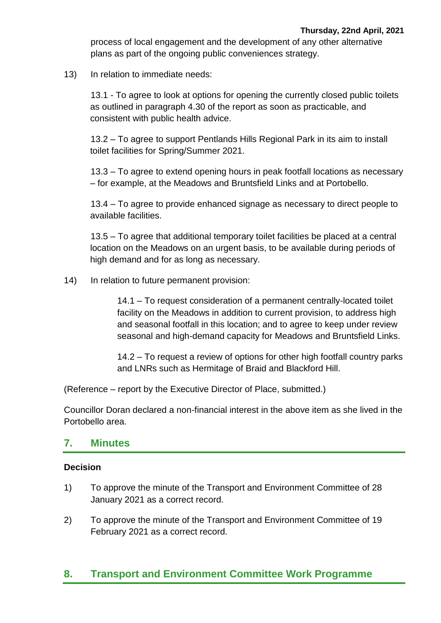process of local engagement and the development of any other alternative plans as part of the ongoing public conveniences strategy.

13) In relation to immediate needs:

13.1 - To agree to look at options for opening the currently closed public toilets as outlined in paragraph 4.30 of the report as soon as practicable, and consistent with public health advice.

13.2 – To agree to support Pentlands Hills Regional Park in its aim to install toilet facilities for Spring/Summer 2021.

13.3 – To agree to extend opening hours in peak footfall locations as necessary – for example, at the Meadows and Bruntsfield Links and at Portobello.

13.4 – To agree to provide enhanced signage as necessary to direct people to available facilities.

13.5 – To agree that additional temporary toilet facilities be placed at a central location on the Meadows on an urgent basis, to be available during periods of high demand and for as long as necessary.

14) In relation to future permanent provision:

14.1 – To request consideration of a permanent centrally-located toilet facility on the Meadows in addition to current provision, to address high and seasonal footfall in this location; and to agree to keep under review seasonal and high-demand capacity for Meadows and Bruntsfield Links.

14.2 – To request a review of options for other high footfall country parks and LNRs such as Hermitage of Braid and Blackford Hill.

(Reference – report by the Executive Director of Place, submitted.)

Councillor Doran declared a non-financial interest in the above item as she lived in the Portobello area.

## **7. Minutes**

## **Decision**

- 1) To approve the minute of the Transport and Environment Committee of 28 January 2021 as a correct record.
- 2) To approve the minute of the Transport and Environment Committee of 19 February 2021 as a correct record.

## **8. Transport and Environment Committee Work Programme**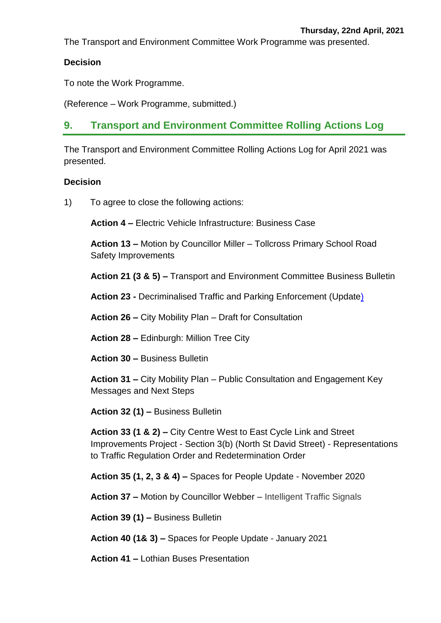The Transport and Environment Committee Work Programme was presented.

## **Decision**

To note the Work Programme.

(Reference – Work Programme, submitted.)

## **9. Transport and Environment Committee Rolling Actions Log**

The Transport and Environment Committee Rolling Actions Log for April 2021 was presented.

## **Decision**

1) To agree to close the following actions:

**Action 4 –** Electric Vehicle Infrastructure: Business Case

**Action 13 –** Motion by Councillor Miller – Tollcross Primary School Road Safety Improvements

**Action 21 (3 & 5) –** Transport and Environment Committee Business Bulletin

**Action 23 -** Decriminalised Traffic and Parking Enforcement (Update)

**Action 26 –** City Mobility Plan – Draft for Consultation

**Action 28 –** Edinburgh: Million Tree City

**Action 30 –** Business Bulletin

**Action 31 –** City Mobility Plan – Public Consultation and Engagement Key Messages and Next Steps

**Action 32 (1) –** Business Bulletin

**Action 33 (1 & 2) –** City Centre West to East Cycle Link and Street Improvements Project - Section 3(b) (North St David Street) - Representations to Traffic Regulation Order and Redetermination Order

**Action 35 (1, 2, 3 & 4) –** Spaces for People Update - November 2020

**Action 37 –** Motion by Councillor Webber – Intelligent Traffic Signals

**Action 39 (1) –** Business Bulletin

**Action 40 (1& 3) –** Spaces for People Update - January 2021

**Action 41 –** Lothian Buses Presentation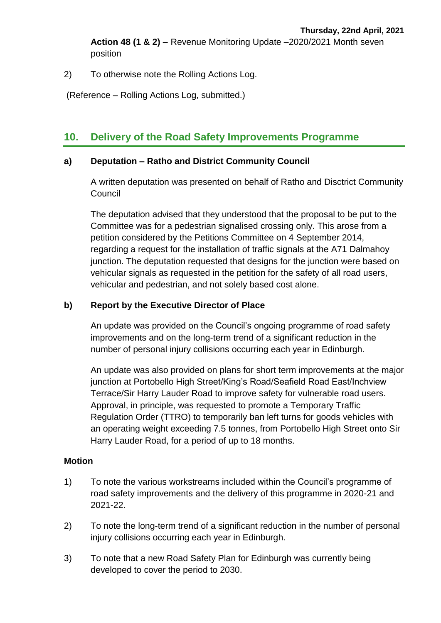**Action 48 (1 & 2) –** Revenue Monitoring Update –2020/2021 Month seven position

2) To otherwise note the Rolling Actions Log.

(Reference – Rolling Actions Log, submitted.)

## **10. Delivery of the Road Safety Improvements Programme**

#### **a) Deputation – Ratho and District Community Council**

A written deputation was presented on behalf of Ratho and Disctrict Community Council

The deputation advised that they understood that the proposal to be put to the Committee was for a pedestrian signalised crossing only. This arose from a petition considered by the Petitions Committee on 4 September 2014, regarding a request for the installation of traffic signals at the A71 Dalmahoy junction. The deputation requested that designs for the junction were based on vehicular signals as requested in the petition for the safety of all road users, vehicular and pedestrian, and not solely based cost alone.

#### **b) Report by the Executive Director of Place**

An update was provided on the Council's ongoing programme of road safety improvements and on the long-term trend of a significant reduction in the number of personal injury collisions occurring each year in Edinburgh.

An update was also provided on plans for short term improvements at the major junction at Portobello High Street/King's Road/Seafield Road East/Inchview Terrace/Sir Harry Lauder Road to improve safety for vulnerable road users. Approval, in principle, was requested to promote a Temporary Traffic Regulation Order (TTRO) to temporarily ban left turns for goods vehicles with an operating weight exceeding 7.5 tonnes, from Portobello High Street onto Sir Harry Lauder Road, for a period of up to 18 months.

## **Motion**

- 1) To note the various workstreams included within the Council's programme of road safety improvements and the delivery of this programme in 2020-21 and 2021-22.
- 2) To note the long-term trend of a significant reduction in the number of personal injury collisions occurring each year in Edinburgh.
- 3) To note that a new Road Safety Plan for Edinburgh was currently being developed to cover the period to 2030.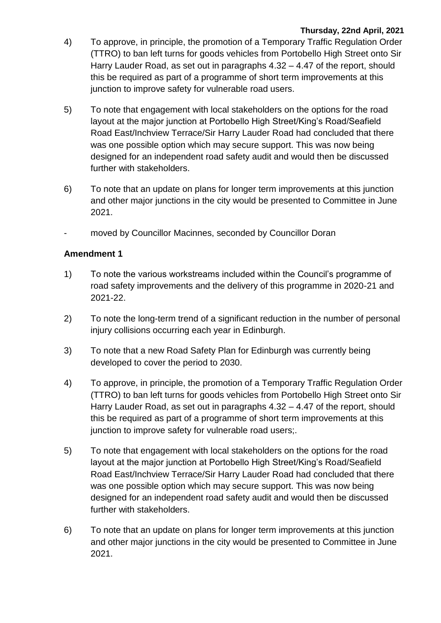#### **Thursday, 22nd April, 2021**

- 4) To approve, in principle, the promotion of a Temporary Traffic Regulation Order (TTRO) to ban left turns for goods vehicles from Portobello High Street onto Sir Harry Lauder Road, as set out in paragraphs 4.32 – 4.47 of the report, should this be required as part of a programme of short term improvements at this junction to improve safety for vulnerable road users.
- 5) To note that engagement with local stakeholders on the options for the road layout at the major junction at Portobello High Street/King's Road/Seafield Road East/Inchview Terrace/Sir Harry Lauder Road had concluded that there was one possible option which may secure support. This was now being designed for an independent road safety audit and would then be discussed further with stakeholders.
- 6) To note that an update on plans for longer term improvements at this junction and other major junctions in the city would be presented to Committee in June 2021.
- moved by Councillor Macinnes, seconded by Councillor Doran

- 1) To note the various workstreams included within the Council's programme of road safety improvements and the delivery of this programme in 2020-21 and 2021-22.
- 2) To note the long-term trend of a significant reduction in the number of personal injury collisions occurring each year in Edinburgh.
- 3) To note that a new Road Safety Plan for Edinburgh was currently being developed to cover the period to 2030.
- 4) To approve, in principle, the promotion of a Temporary Traffic Regulation Order (TTRO) to ban left turns for goods vehicles from Portobello High Street onto Sir Harry Lauder Road, as set out in paragraphs 4.32 – 4.47 of the report, should this be required as part of a programme of short term improvements at this junction to improve safety for vulnerable road users;.
- 5) To note that engagement with local stakeholders on the options for the road layout at the major junction at Portobello High Street/King's Road/Seafield Road East/Inchview Terrace/Sir Harry Lauder Road had concluded that there was one possible option which may secure support. This was now being designed for an independent road safety audit and would then be discussed further with stakeholders.
- 6) To note that an update on plans for longer term improvements at this junction and other major junctions in the city would be presented to Committee in June 2021.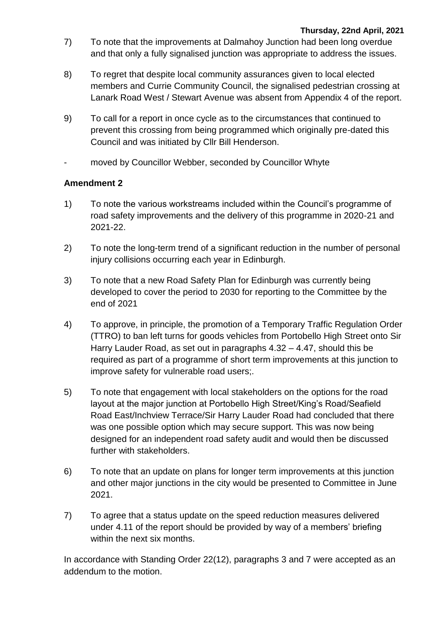- 7) To note that the improvements at Dalmahoy Junction had been long overdue and that only a fully signalised junction was appropriate to address the issues.
- 8) To regret that despite local community assurances given to local elected members and Currie Community Council, the signalised pedestrian crossing at Lanark Road West / Stewart Avenue was absent from Appendix 4 of the report.
- 9) To call for a report in once cycle as to the circumstances that continued to prevent this crossing from being programmed which originally pre-dated this Council and was initiated by Cllr Bill Henderson.
- moved by Councillor Webber, seconded by Councillor Whyte

## **Amendment 2**

- 1) To note the various workstreams included within the Council's programme of road safety improvements and the delivery of this programme in 2020-21 and 2021-22.
- 2) To note the long-term trend of a significant reduction in the number of personal injury collisions occurring each year in Edinburgh.
- 3) To note that a new Road Safety Plan for Edinburgh was currently being developed to cover the period to 2030 for reporting to the Committee by the end of 2021
- 4) To approve, in principle, the promotion of a Temporary Traffic Regulation Order (TTRO) to ban left turns for goods vehicles from Portobello High Street onto Sir Harry Lauder Road, as set out in paragraphs 4.32 – 4.47, should this be required as part of a programme of short term improvements at this junction to improve safety for vulnerable road users;.
- 5) To note that engagement with local stakeholders on the options for the road layout at the major junction at Portobello High Street/King's Road/Seafield Road East/Inchview Terrace/Sir Harry Lauder Road had concluded that there was one possible option which may secure support. This was now being designed for an independent road safety audit and would then be discussed further with stakeholders.
- 6) To note that an update on plans for longer term improvements at this junction and other major junctions in the city would be presented to Committee in June 2021.
- 7) To agree that a status update on the speed reduction measures delivered under 4.11 of the report should be provided by way of a members' briefing within the next six months.

In accordance with Standing Order 22(12), paragraphs 3 and 7 were accepted as an addendum to the motion.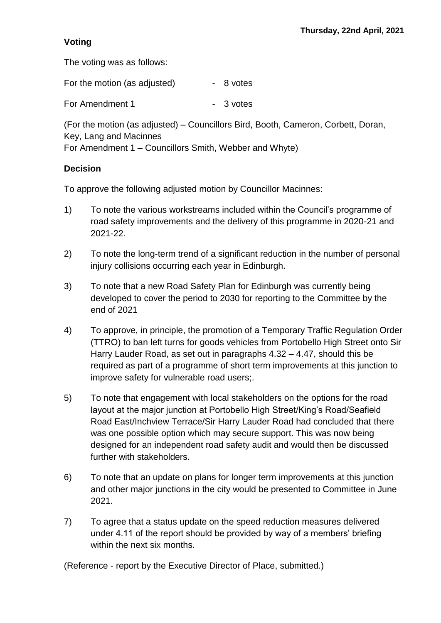## **Voting**

The voting was as follows:

| For the motion (as adjusted) | - 8 votes |
|------------------------------|-----------|
| For Amendment 1              | - 3 votes |

(For the motion (as adjusted) – Councillors Bird, Booth, Cameron, Corbett, Doran, Key, Lang and Macinnes

For Amendment 1 – Councillors Smith, Webber and Whyte)

## **Decision**

To approve the following adjusted motion by Councillor Macinnes:

- 1) To note the various workstreams included within the Council's programme of road safety improvements and the delivery of this programme in 2020-21 and 2021-22.
- 2) To note the long-term trend of a significant reduction in the number of personal injury collisions occurring each year in Edinburgh.
- 3) To note that a new Road Safety Plan for Edinburgh was currently being developed to cover the period to 2030 for reporting to the Committee by the end of 2021
- 4) To approve, in principle, the promotion of a Temporary Traffic Regulation Order (TTRO) to ban left turns for goods vehicles from Portobello High Street onto Sir Harry Lauder Road, as set out in paragraphs 4.32 – 4.47, should this be required as part of a programme of short term improvements at this junction to improve safety for vulnerable road users;.
- 5) To note that engagement with local stakeholders on the options for the road layout at the major junction at Portobello High Street/King's Road/Seafield Road East/Inchview Terrace/Sir Harry Lauder Road had concluded that there was one possible option which may secure support. This was now being designed for an independent road safety audit and would then be discussed further with stakeholders.
- 6) To note that an update on plans for longer term improvements at this junction and other major junctions in the city would be presented to Committee in June 2021.
- 7) To agree that a status update on the speed reduction measures delivered under 4.11 of the report should be provided by way of a members' briefing within the next six months.

(Reference - report by the Executive Director of Place, submitted.)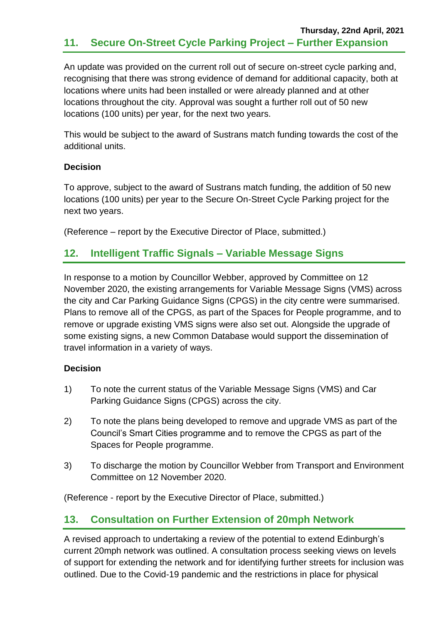An update was provided on the current roll out of secure on-street cycle parking and, recognising that there was strong evidence of demand for additional capacity, both at locations where units had been installed or were already planned and at other locations throughout the city. Approval was sought a further roll out of 50 new locations (100 units) per year, for the next two years.

This would be subject to the award of Sustrans match funding towards the cost of the additional units.

## **Decision**

To approve, subject to the award of Sustrans match funding, the addition of 50 new locations (100 units) per year to the Secure On-Street Cycle Parking project for the next two years.

(Reference – report by the Executive Director of Place, submitted.)

## **12. Intelligent Traffic Signals – Variable Message Signs**

In response to a motion by Councillor Webber, approved by Committee on 12 November 2020, the existing arrangements for Variable Message Signs (VMS) across the city and Car Parking Guidance Signs (CPGS) in the city centre were summarised. Plans to remove all of the CPGS, as part of the Spaces for People programme, and to remove or upgrade existing VMS signs were also set out. Alongside the upgrade of some existing signs, a new Common Database would support the dissemination of travel information in a variety of ways.

## **Decision**

- 1) To note the current status of the Variable Message Signs (VMS) and Car Parking Guidance Signs (CPGS) across the city.
- 2) To note the plans being developed to remove and upgrade VMS as part of the Council's Smart Cities programme and to remove the CPGS as part of the Spaces for People programme.
- 3) To discharge the motion by Councillor Webber from Transport and Environment Committee on 12 November 2020.

(Reference - report by the Executive Director of Place, submitted.)

## **13. Consultation on Further Extension of 20mph Network**

A revised approach to undertaking a review of the potential to extend Edinburgh's current 20mph network was outlined. A consultation process seeking views on levels of support for extending the network and for identifying further streets for inclusion was outlined. Due to the Covid-19 pandemic and the restrictions in place for physical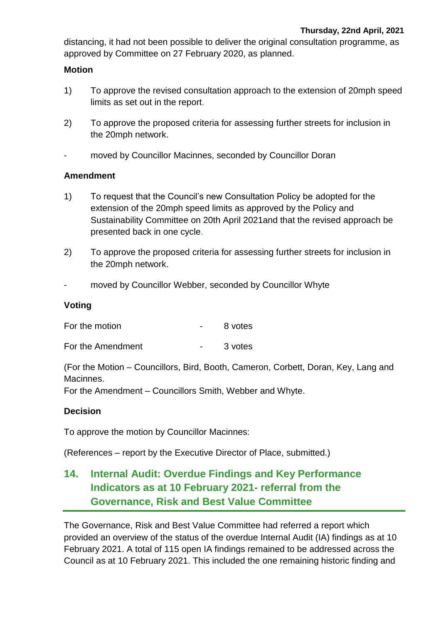distancing, it had not been possible to deliver the original consultation programme, as approved by Committee on 27 February 2020, as planned.

#### **Motion**

- 1) To approve the revised consultation approach to the extension of 20mph speed limits as set out in the report.
- 2) To approve the proposed criteria for assessing further streets for inclusion in the 20mph network.
- moved by Councillor Macinnes, seconded by Councillor Doran

#### **Amendment**

- 1) To request that the Council's new Consultation Policy be adopted for the extension of the 20mph speed limits as approved by the Policy and Sustainability Committee on 20th April 2021and that the revised approach be presented back in one cycle.
- 2) To approve the proposed criteria for assessing further streets for inclusion in the 20mph network.
- moved by Councillor Webber, seconded by Councillor Whyte

#### **Voting**

For the motion Theorem 2011

For the Amendment Theory Contract Contract Contract 3 votes

(For the Motion – Councillors, Bird, Booth, Cameron, Corbett, Doran, Key, Lang and Macinnes.

For the Amendment – Councillors Smith, Webber and Whyte.

## **Decision**

To approve the motion by Councillor Macinnes:

(References – report by the Executive Director of Place, submitted.)

## **14. Internal Audit: Overdue Findings and Key Performance Indicators as at 10 February 2021- referral from the Governance, Risk and Best Value Committee**

The Governance, Risk and Best Value Committee had referred a report which provided an overview of the status of the overdue Internal Audit (IA) findings as at 10 February 2021. A total of 115 open IA findings remained to be addressed across the Council as at 10 February 2021. This included the one remaining historic finding and